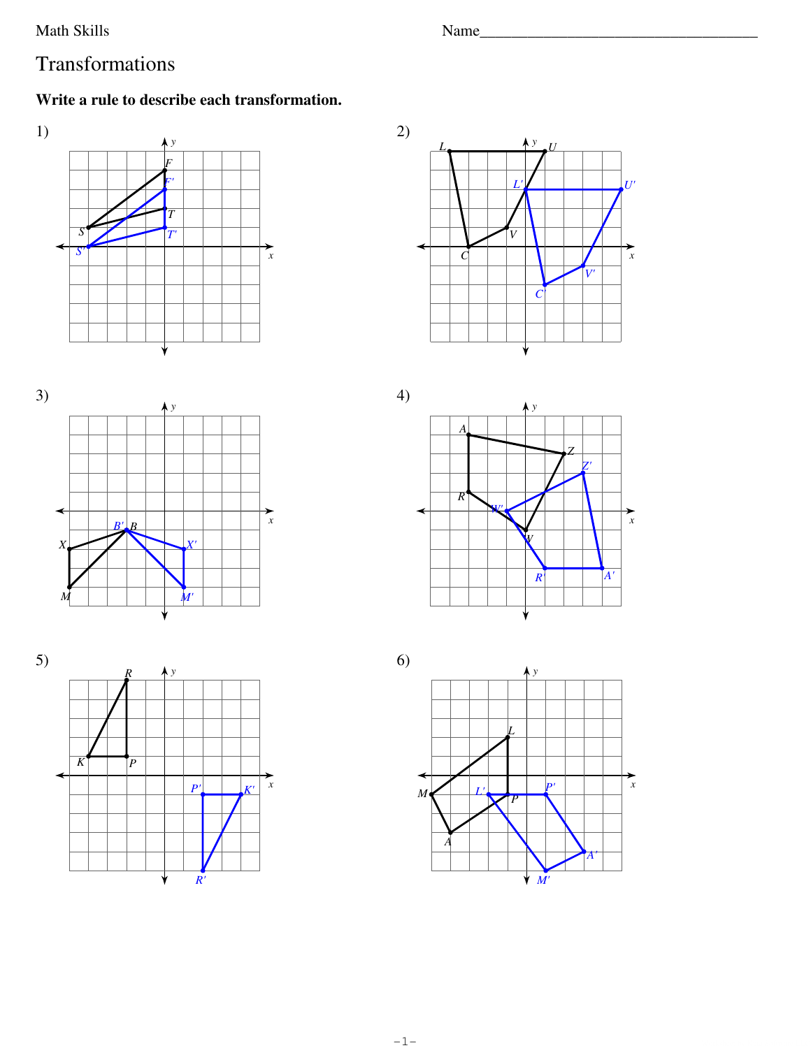Math Skills

Name

## Transformations

## Write a rule to describe each transformation.









 $4)$ 





 $-1-$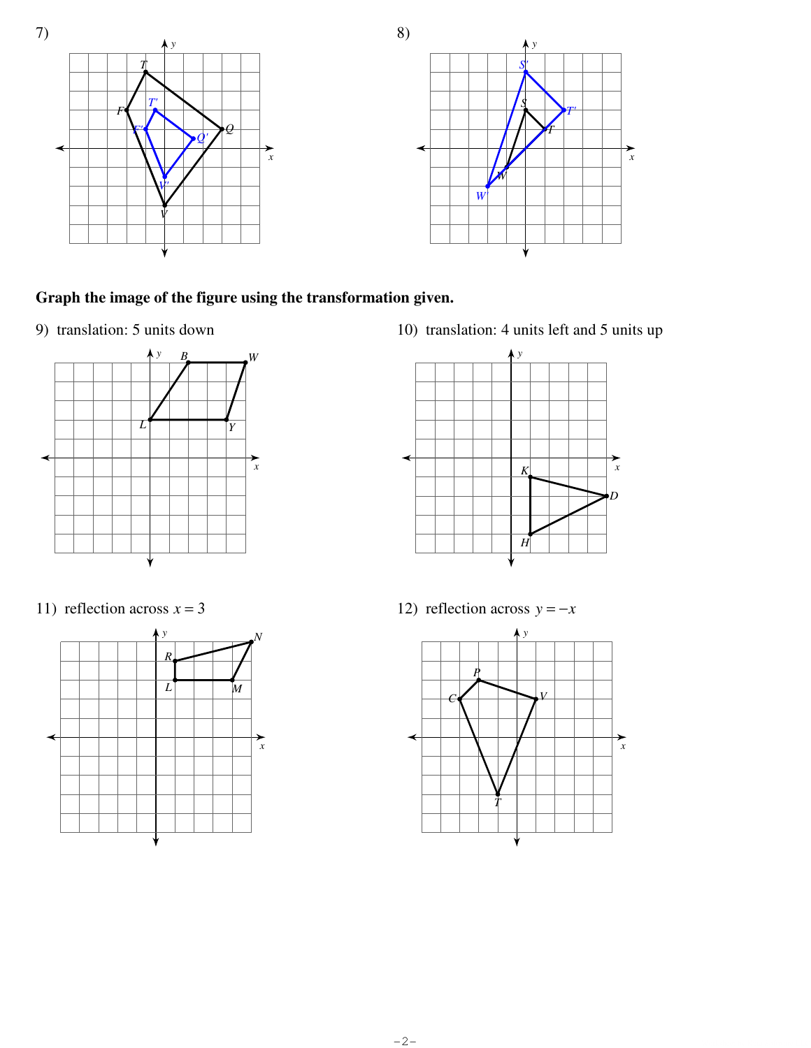

## **Graph the image of the figure using the transformation given.**

9) translation: 5 units down



11) reflection across  $x = 3$ 



10) translation: 4 units left and 5 units up



12) reflection across  $y = -x$